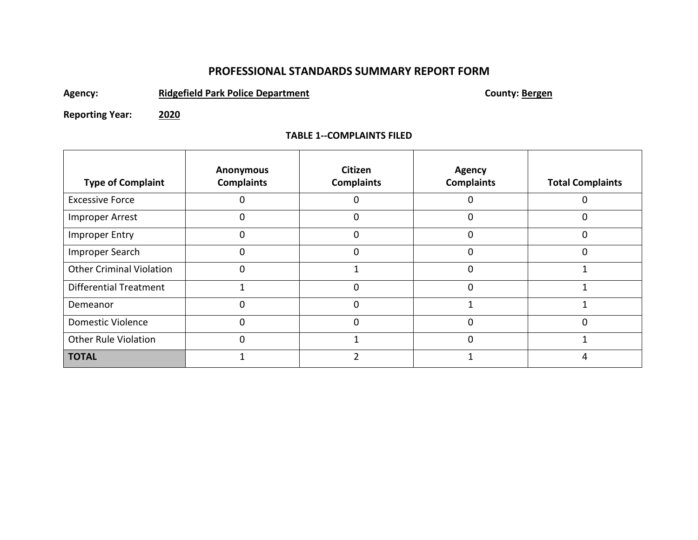# **PROFESSIONAL STANDARDS SUMMARY REPORT FORM**

Agency: **Ridgefield Park Police Department County: Bergen** 

**Reporting Year: 2020**

## **TABLE 1--COMPLAINTS FILED**

| <b>Type of Complaint</b>        | <b>Anonymous</b><br><b>Complaints</b> | <b>Citizen</b><br><b>Complaints</b> | Agency<br><b>Complaints</b> | <b>Total Complaints</b> |  |
|---------------------------------|---------------------------------------|-------------------------------------|-----------------------------|-------------------------|--|
| <b>Excessive Force</b>          |                                       |                                     | 0                           | 0                       |  |
| Improper Arrest                 | 0                                     | $\Omega$                            | $\Omega$                    | $\Omega$                |  |
| <b>Improper Entry</b>           |                                       | $\Omega$                            | $\Omega$                    | $\Omega$                |  |
| Improper Search                 | 0                                     | 0                                   | $\Omega$                    | $\Omega$                |  |
| <b>Other Criminal Violation</b> |                                       |                                     | $\Omega$                    |                         |  |
| <b>Differential Treatment</b>   |                                       | 0                                   | 0                           |                         |  |
| Demeanor                        | $\Omega$                              | $\Omega$                            | 1                           |                         |  |
| Domestic Violence               | 0                                     | $\Omega$                            | 0                           | $\Omega$                |  |
| <b>Other Rule Violation</b>     | 0                                     |                                     | 0                           |                         |  |
| <b>TOTAL</b>                    |                                       |                                     |                             |                         |  |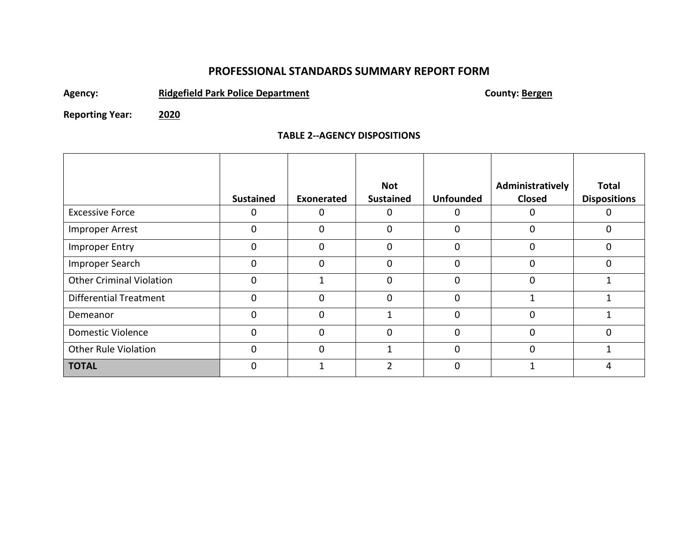## **PROFESSIONAL STANDARDS SUMMARY REPORT FORM**

Agency: **Ridgefield Park Police Department County: Bergen** 

**Reporting Year: 2020**

### **TABLE 2--AGENCY DISPOSITIONS**

|                                 |                  |            | <b>Not</b>       |                  | Administratively | <b>Total</b>        |
|---------------------------------|------------------|------------|------------------|------------------|------------------|---------------------|
|                                 | <b>Sustained</b> | Exonerated | <b>Sustained</b> | <b>Unfounded</b> | <b>Closed</b>    | <b>Dispositions</b> |
| <b>Excessive Force</b>          | 0                | O          |                  | 0                | 0                |                     |
| <b>Improper Arrest</b>          | 0                | 0          | 0                | 0                | $\Omega$         | 0                   |
| Improper Entry                  | 0                | 0          | $\Omega$         | 0                | $\Omega$         | 0                   |
| Improper Search                 | 0                | 0          | 0                | 0                | $\Omega$         | 0                   |
| <b>Other Criminal Violation</b> | $\mathbf 0$      |            | $\Omega$         | 0                | $\Omega$         |                     |
| <b>Differential Treatment</b>   | $\mathbf 0$      | 0          | $\Omega$         | 0                |                  |                     |
| Demeanor                        | $\Omega$         | 0          |                  | 0                | $\Omega$         |                     |
| <b>Domestic Violence</b>        | $\mathbf 0$      | 0          | $\Omega$         | 0                | $\Omega$         | 0                   |
| <b>Other Rule Violation</b>     | $\mathbf 0$      | 0          |                  | 0                | $\Omega$         |                     |
| <b>TOTAL</b>                    | 0                |            | $\mathfrak{p}$   | 0                |                  |                     |